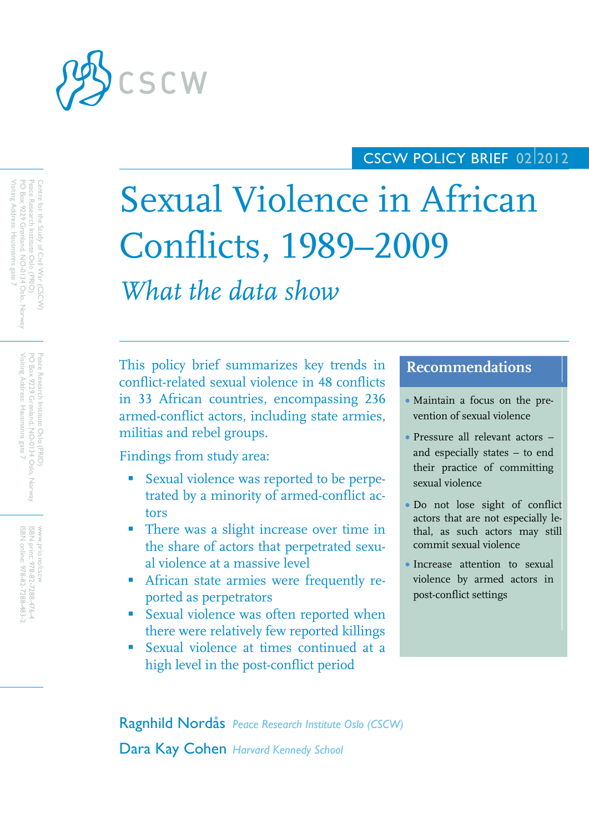

## CSCW POLICY BRIEF 02 2012

# Sexual Violence in African Conflicts, 1989–2009

*What the data show*

This policy brief summarizes key trends in conflict-related sexual violence in 48 conflicts in 33 African countries, encompassing 236 armed-conflict actors, including state armies, militias and rebel groups.

Findings from study area:

- **Sexual violence was reported to be perpe**trated by a minority of armed-conflict actors
- There was a slight increase over time in the share of actors that perpetrated sexual violence at a massive level
- African state armies were frequently reported as perpetrators
- Sexual violence was often reported when there were relatively few reported killings
- Sexual violence at times continued at a high level in the post-conflict period

### **Recommendations**

- Maintain a focus on the prevention of sexual violence
- Pressure all relevant actors and especially states – to end their practice of committing sexual violence
- Do not lose sight of conflict actors that are not especially lethal, as such actors may still commit sexual violence
- Increase attention to sexual violence by armed actors in post-conflict settings

Ragnhild Nordås *Peace Research Institute Oslo (CSCW)* Dara Kay Cohen *Harvard Kennedy School*

Visiting Address: Hausmanns gate 7 PO Box 9229 Grønland, NO-0134 Oslo, Norway PO Box 9229 Grønland, NO Peace Research Institute Oslo (PRIO) Centre for the Study of Civil War (CSCW)  $\delta$ isiting Address: Hausmanns gate 7 Conservation oslo (PRIC)<br>Pace Research Institute Oslo (PRIC) entre for the Study of Civil War (CSCW)<br>Jentre for the Study of Civil War -0134 Oslo, Norway

> Peace Research Institute Oslo (PRIO)<br>PO Box 9229 Grenland, NO-0134 Oslo, Norway<br>Visiting Address: Hausmanns gate 7 Visiting Address: Hausmanns gate 7 PO Box 9229 Grønland, NO Peace Research Institute Oslo (PRIO) -0134 Oslo, Norway

www.prio.no/cscw<br>ISBN print: 978-82-7288-476-4<br>ISBN online: 978-82-7288-483-2 www.prio.no/cscw print: 978-82-7288-476-4 ISBN online: 978-82-7288-483-2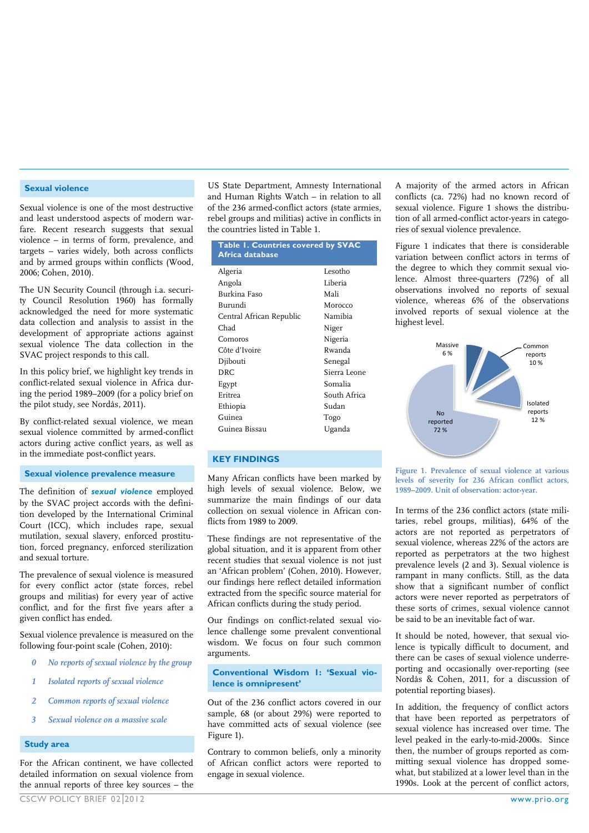#### **Sexual violence**

Sexual violence is one of the most destructive and least understood aspects of modern warfare. Recent research suggests that sexual violence – in terms of form, prevalence, and targets – varies widely, both across conflicts and by armed groups within conflicts (Wood, 2006; Cohen, 2010).

The UN Security Council (through i.a. security Council Resolution 1960) has formally acknowledged the need for more systematic data collection and analysis to assist in the development of appropriate actions against sexual violence The data collection in the SVAC project responds to this call.

In this policy brief, we highlight key trends in conflict-related sexual violence in Africa during the period 1989–2009 (for a policy brief on the pilot study, see Nordås, 2011).

By conflict-related sexual violence, we mean sexual violence committed by armed-conflict actors during active conflict years, as well as in the immediate post-conflict years.

**Sexual violence prevalence measure**

The definition of *sexual violence* employed by the SVAC project accords with the definition developed by the International Criminal Court (ICC), which includes rape, sexual mutilation, sexual slavery, enforced prostitution, forced pregnancy, enforced sterilization and sexual torture.

The prevalence of sexual violence is measured for every conflict actor (state forces, rebel groups and militias) for every year of active conflict, and for the first five years after a given conflict has ended.

Sexual violence prevalence is measured on the following four-point scale (Cohen, 2010):

- *0 No reports of sexual violence by the group*
- *1 Isolated reports of sexual violence*
- *2 Common reports of sexual violence*
- *3 Sexual violence on a massive scale*

#### **Study area**

For the African continent, we have collected detailed information on sexual violence from the annual reports of three key sources – the US State Department, Amnesty International and Human Rights Watch – in relation to all of the 236 armed-conflict actors (state armies, rebel groups and militias) active in conflicts in the countries listed in Table 1.

| Table 1. Countries covered by SVAC<br>Africa database |              |
|-------------------------------------------------------|--------------|
| Algeria                                               | Lesotho      |
| Angola                                                | Liberia      |
| Burkina Faso                                          | Mali         |
| Burundi                                               | Morocco      |
| Central African Republic                              | Namibia      |
| Chad                                                  | Niger        |
| Comoros                                               | Nigeria      |
| Côte d'Ivoire                                         | Rwanda       |
| Djibouti                                              | Senegal      |
| <b>DRC</b>                                            | Sierra Leone |
| Egypt                                                 | Somalia      |
| Eritrea                                               | South Africa |
| Ethiopia                                              | Sudan        |
| Guinea                                                | Togo         |
| Guinea Bissau                                         | Uganda       |

#### **KEY FINDINGS**

Many African conflicts have been marked by high levels of sexual violence. Below, we summarize the main findings of our data collection on sexual violence in African conflicts from 1989 to 2009.

These findings are not representative of the global situation, and it is apparent from other recent studies that sexual violence is not just an 'African problem' (Cohen, 2010). However, our findings here reflect detailed information extracted from the specific source material for African conflicts during the study period.

Our findings on conflict-related sexual violence challenge some prevalent conventional wisdom. We focus on four such common arguments.

**Conventional Wisdom 1: 'Sexual violence is omnipresent'**

Out of the 236 conflict actors covered in our sample, 68 (or about 29%) were reported to have committed acts of sexual violence (see Figure 1).

Contrary to common beliefs, only a minority of African conflict actors were reported to engage in sexual violence.

A majority of the armed actors in African conflicts (ca. 72%) had no known record of sexual violence. Figure 1 shows the distribution of all armed-conflict actor-years in categories of sexual violence prevalence.

Figure 1 indicates that there is considerable variation between conflict actors in terms of the degree to which they commit sexual violence. Almost three-quarters (72%) of all observations involved no reports of sexual violence, whereas 6% of the observations involved reports of sexual violence at the highest level.





In terms of the 236 conflict actors (state militaries, rebel groups, militias), 64% of the actors are not reported as perpetrators of sexual violence, whereas 22% of the actors are reported as perpetrators at the two highest prevalence levels (2 and 3). Sexual violence is rampant in many conflicts. Still, as the data show that a significant number of conflict actors were never reported as perpetrators of these sorts of crimes, sexual violence cannot be said to be an inevitable fact of war.

It should be noted, however, that sexual violence is typically difficult to document, and there can be cases of sexual violence underreporting and occasionally over-reporting (see Nordås & Cohen, 2011, for a discussion of potential reporting biases).

In addition, the frequency of conflict actors that have been reported as perpetrators of sexual violence has increased over time. The level peaked in the early-to-mid-2000s. Since then, the number of groups reported as committing sexual violence has dropped somewhat, but stabilized at a lower level than in the 1990s. Look at the percent of conflict actors,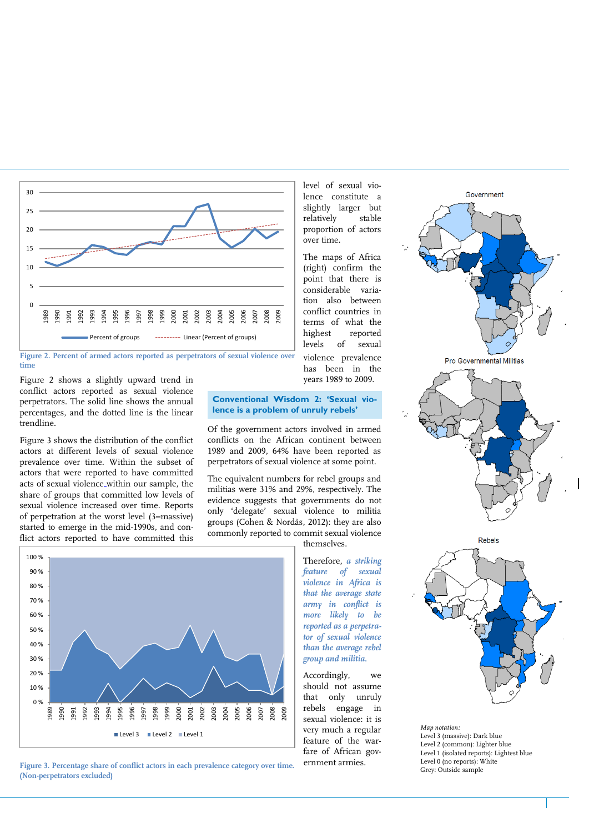

**Figure 2. Percent of armed actors reported as perpetrators of sexual violence over time**

Figure 2 shows a slightly upward trend in conflict actors reported as sexual violence perpetrators. The solid line shows the annual percentages, and the dotted line is the linear trendline.

Figure 3 shows the distribution of the conflict actors at different levels of sexual violence prevalence over time. Within the subset of actors that were reported to have committed acts of sexual violence within our sample, the share of groups that committed low levels of sexual violence increased over time. Reports of perpetration at the worst level (3=massive) started to emerge in the mid-1990s, and conflict actors reported to have committed this



Of the government actors involved in armed conflicts on the African continent between 1989 and 2009, 64% have been reported as perpetrators of sexual violence at some point.

The equivalent numbers for rebel groups and militias were 31% and 29%, respectively. The evidence suggests that governments do not only 'delegate' sexual violence to militia groups (Cohen & Nordås, 2012): they are also commonly reported to commit sexual violence



**Figure 3. Percentage share of conflict actors in each prevalence category over time. (Non-perpetrators excluded)**

Therefore, *a striking feature of sexual violence in Africa is that the average state army in conflict is more likely to be reported as a perpetrator of sexual violence than the average rebel group and militia.*

level of sexual violence constitute a slightly larger but relatively stable proportion of actors

The maps of Africa (right) confirm the point that there is considerable variation also between conflict countries in terms of what the highest reported levels of sexual violence prevalence has been in the years 1989 to 2009.

over time.

Accordingly, we should not assume that only unruly rebels engage in sexual violence: it is very much a regular feature of the warfare of African government armies.







*Map notation:*  Level 3 (massive): Dark blue Level 2 (common): Lighter blue Level 1 (isolated reports): Lightest blue Level 0 (no reports): White Grey: Outside sample

themselves.